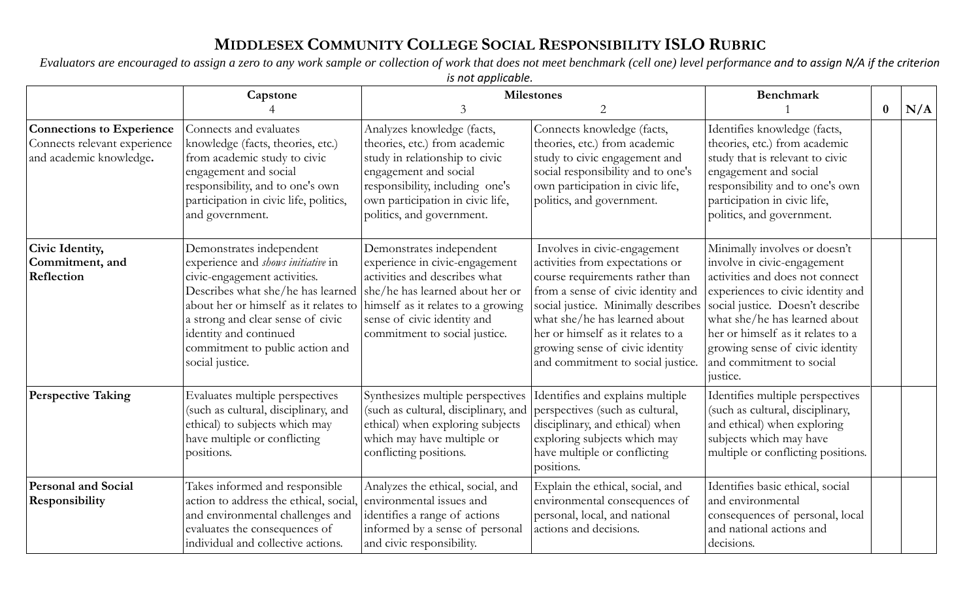## **MIDDLESEX COMMUNITY COLLEGE SOCIAL RESPONSIBILITY ISLO RUBRIC**

*Evaluators are encouraged to assign a zero to any work sample or collection of work that does not meet benchmark (cell one) level performance and to assign N/A if the criterion is not applicable* 

|                                                                                             | is not applicable.                                                                                                                                                                                                                                                                                |                                                                                                                                                                                                                                      |                                                                                                                                                                                                                                                                                                                               |                                                                                                                                                                                                                                                                                                                           |     |  |  |
|---------------------------------------------------------------------------------------------|---------------------------------------------------------------------------------------------------------------------------------------------------------------------------------------------------------------------------------------------------------------------------------------------------|--------------------------------------------------------------------------------------------------------------------------------------------------------------------------------------------------------------------------------------|-------------------------------------------------------------------------------------------------------------------------------------------------------------------------------------------------------------------------------------------------------------------------------------------------------------------------------|---------------------------------------------------------------------------------------------------------------------------------------------------------------------------------------------------------------------------------------------------------------------------------------------------------------------------|-----|--|--|
|                                                                                             | Capstone                                                                                                                                                                                                                                                                                          | <b>Milestones</b>                                                                                                                                                                                                                    |                                                                                                                                                                                                                                                                                                                               | <b>Benchmark</b>                                                                                                                                                                                                                                                                                                          |     |  |  |
|                                                                                             |                                                                                                                                                                                                                                                                                                   | $\mathfrak{Z}$                                                                                                                                                                                                                       | 2                                                                                                                                                                                                                                                                                                                             | $\bf{0}$                                                                                                                                                                                                                                                                                                                  | N/A |  |  |
| <b>Connections to Experience</b><br>Connects relevant experience<br>and academic knowledge. | Connects and evaluates<br>knowledge (facts, theories, etc.)<br>from academic study to civic<br>engagement and social<br>responsibility, and to one's own<br>participation in civic life, politics,<br>and government.                                                                             | Analyzes knowledge (facts,<br>theories, etc.) from academic<br>study in relationship to civic<br>engagement and social<br>responsibility, including one's<br>own participation in civic life,<br>politics, and government.           | Connects knowledge (facts,<br>theories, etc.) from academic<br>study to civic engagement and<br>social responsibility and to one's<br>own participation in civic life,<br>politics, and government.                                                                                                                           | Identifies knowledge (facts,<br>theories, etc.) from academic<br>study that is relevant to civic<br>engagement and social<br>responsibility and to one's own<br>participation in civic life,<br>politics, and government.                                                                                                 |     |  |  |
| Civic Identity,<br>Commitment, and<br>Reflection                                            | Demonstrates independent<br>experience and shows initiative in<br>civic-engagement activities.<br>Describes what she/he has learned<br>about her or himself as it relates to<br>a strong and clear sense of civic<br>identity and continued<br>commitment to public action and<br>social justice. | Demonstrates independent<br>experience in civic-engagement<br>activities and describes what<br>she/he has learned about her or<br>himself as it relates to a growing<br>sense of civic identity and<br>commitment to social justice. | Involves in civic-engagement<br>activities from expectations or<br>course requirements rather than<br>from a sense of civic identity and<br>social justice. Minimally describes<br>what she/he has learned about<br>her or himself as it relates to a<br>growing sense of civic identity<br>and commitment to social justice. | Minimally involves or doesn't<br>involve in civic-engagement<br>activities and does not connect<br>experiences to civic identity and<br>social justice. Doesn't describe<br>what she/he has learned about<br>her or himself as it relates to a<br>growing sense of civic identity<br>and commitment to social<br>justice. |     |  |  |
| <b>Perspective Taking</b>                                                                   | Evaluates multiple perspectives<br>(such as cultural, disciplinary, and<br>ethical) to subjects which may<br>have multiple or conflicting<br>positions.                                                                                                                                           | Synthesizes multiple perspectives<br>(such as cultural, disciplinary, and<br>ethical) when exploring subjects<br>which may have multiple or<br>conflicting positions.                                                                | Identifies and explains multiple<br>perspectives (such as cultural,<br>disciplinary, and ethical) when<br>exploring subjects which may<br>have multiple or conflicting<br>positions.                                                                                                                                          | Identifies multiple perspectives<br>(such as cultural, disciplinary,<br>and ethical) when exploring<br>subjects which may have<br>multiple or conflicting positions.                                                                                                                                                      |     |  |  |
| <b>Personal and Social</b><br>Responsibility                                                | Takes informed and responsible<br>action to address the ethical, social,<br>and environmental challenges and<br>evaluates the consequences of<br>individual and collective actions.                                                                                                               | Analyzes the ethical, social, and<br>environmental issues and<br>identifies a range of actions<br>informed by a sense of personal<br>and civic responsibility.                                                                       | Explain the ethical, social, and<br>environmental consequences of<br>personal, local, and national<br>actions and decisions.                                                                                                                                                                                                  | Identifies basic ethical, social<br>and environmental<br>consequences of personal, local<br>and national actions and<br>decisions.                                                                                                                                                                                        |     |  |  |